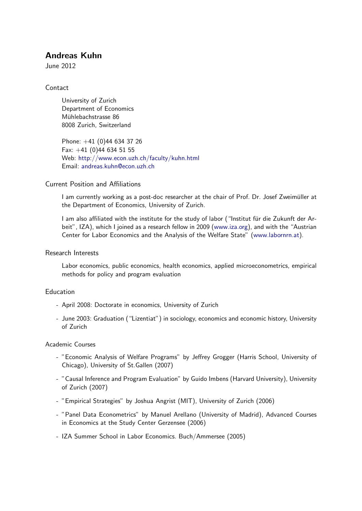# Andreas Kuhn

June 2012

## **Contact**

University of Zurich Department of Economics Mühlebachstrasse 86 8008 Zurich, Switzerland

Phone: +41 (0)44 634 37 26 Fax: +41 (0)44 634 51 55 Web: <http://www.econ.uzh.ch/faculty/kuhn.html> Email: [andreas.kuhn@econ.uzh.ch](mailto:andreas.kuhn@econ.uzh.ch)

## Current Position and Affiliations

I am currently working as a post-doc researcher at the chair of Prof. Dr. Josef Zweimüller at the Department of Economics, University of Zurich.

I am also affiliated with the institute for the study of labor ("Institut für die Zukunft der Arbeit", IZA), which I joined as a research fellow in 2009 [\(www.iza.org\)](http://www.iza.org), and with the "Austrian Center for Labor Economics and the Analysis of the Welfare State" [\(www.labornrn.at\)](http://www.labornrn.at).

### Research Interests

Labor economics, public economics, health economics, applied microeconometrics, empirical methods for policy and program evaluation

## Education

- April 2008: Doctorate in economics, University of Zurich
- June 2003: Graduation ("Lizentiat") in sociology, economics and economic history, University of Zurich

## Academic Courses

- "Economic Analysis of Welfare Programs" by Jeffrey Grogger (Harris School, University of Chicago), University of St.Gallen (2007)
- "Causal Inference and Program Evaluation" by Guido Imbens (Harvard University), University of Zurich (2007)
- "Empirical Strategies" by Joshua Angrist (MIT), University of Zurich (2006)
- "Panel Data Econometrics" by Manuel Arellano (University of Madrid), Advanced Courses in Economics at the Study Center Gerzensee (2006)
- IZA Summer School in Labor Economics. Buch/Ammersee (2005)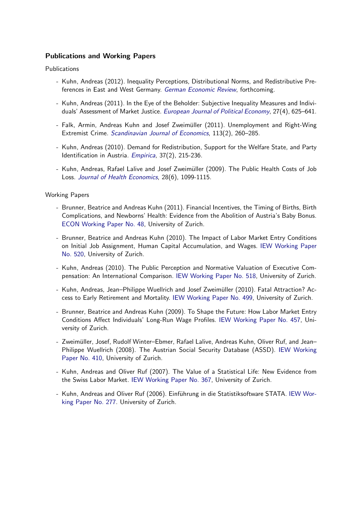### Publications and Working Papers

#### Publications

- Kuhn, Andreas (2012). Inequality Perceptions, Distributional Norms, and Redistributive Preferences in East and West Germany. German Economic Review, forthcoming.
- Kuhn, Andreas (2011). In the Eye of the Beholder: Subjective Inequality Measures and Individuals' Assessment of Market Justice. [European Journal of Political Economy](http://dx.doi.org/10.1016/j.ejpoleco.2011.06.002), 27(4), 625–641.
- Falk, Armin, Andreas Kuhn and Josef Zweimüller (2011). Unemployment and Right-Wing Extremist Crime. [Scandinavian Journal of Economics](http://dx.doi.org/10.1111/j.1467-9442.2011.01648.x), 113(2), 260–285.
- Kuhn, Andreas (2010). Demand for Redistribution, Support for the Welfare State, and Party Identification in Austria. [Empirica](http://dx.doi.org/10.1007/s10663-010-9126-3), 37(2), 215-236.
- Kuhn, Andreas, Rafael Lalive and Josef Zweimüller (2009). The Public Health Costs of Job Loss. [Journal of Health Economics](http://dx.doi.org/10.1016/j.jhealeco.2009.09.004), 28(6), 1099-1115.

#### Working Papers

- Brunner, Beatrice and Andreas Kuhn (2011). Financial Incentives, the Timing of Births, Birth Complications, and Newborns' Health: Evidence from the Abolition of Austria's Baby Bonus. [ECON Working Paper No. 48,](http://www.econ.uzh.ch/static/workingpapers.php) University of Zurich.
- Brunner, Beatrice and Andreas Kuhn (2010). The Impact of Labor Market Entry Conditions on Initial Job Assignment, Human Capital Accumulation, and Wages. [IEW Working Paper](http://www.iew.uzh.ch/wp/iewwp520.pdf) [No. 520,](http://www.iew.uzh.ch/wp/iewwp520.pdf) University of Zurich.
- Kuhn, Andreas (2010). The Public Perception and Normative Valuation of Executive Compensation: An International Comparison. [IEW Working Paper No. 518,](http://www.iew.uzh.ch/wp/iewwp518.pdf) University of Zurich.
- Kuhn, Andreas, Jean–Philippe Wuellrich and Josef Zweimuller (2010). Fatal Attraction? Ac- ¨ cess to Early Retirement and Mortality. [IEW Working Paper No. 499,](http://www.iew.uzh.ch/wp/iewwp499.pdf) University of Zurich.
- Brunner, Beatrice and Andreas Kuhn (2009). To Shape the Future: How Labor Market Entry Conditions Affect Individuals' Long-Run Wage Profiles. [IEW Working Paper No. 457,](http://www.iew.uzh.ch/wp/iewwp457.pdf) University of Zurich.
- Zweimüller, Josef, Rudolf Winter–Ebmer, Rafael Lalive, Andreas Kuhn, Oliver Ruf, and Jean– Philippe Wuellrich (2008). The Austrian Social Security Database (ASSD). [IEW Working](http://www.iew.uzh.ch/wp/iewwp410.pdf) [Paper No. 410,](http://www.iew.uzh.ch/wp/iewwp410.pdf) University of Zurich.
- Kuhn, Andreas and Oliver Ruf (2007). The Value of a Statistical Life: New Evidence from the Swiss Labor Market. [IEW Working Paper No. 367,](http://www.iew.uzh.ch/wp/iewwp367.pdf) University of Zurich.
- Kuhn, Andreas and Oliver Ruf (2006). Einführung in die Statistiksoftware STATA. [IEW Wor](http://www.iew.uzh.ch/wp/iewwp277.pdf)[king Paper No. 277.](http://www.iew.uzh.ch/wp/iewwp277.pdf) University of Zurich.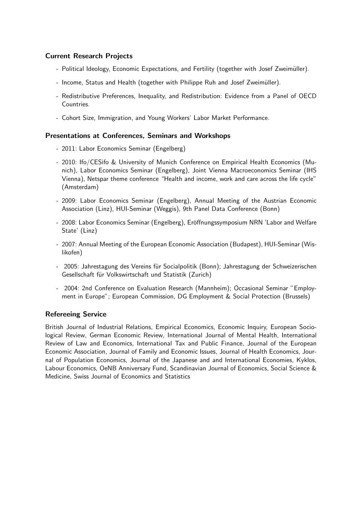# Current Research Projects

- Political Ideology, Economic Expectations, and Fertility (together with Josef Zweimüller).
- Income, Status and Health (together with Philippe Ruh and Josef Zweimüller).
- Redistributive Preferences, Inequality, and Redistribution: Evidence from a Panel of OECD Countries.
- Cohort Size, Immigration, and Young Workers' Labor Market Performance.

### Presentations at Conferences, Seminars and Workshops

- 2011: Labor Economics Seminar (Engelberg)
- 2010: Ifo/CESifo & University of Munich Conference on Empirical Health Economics (Munich), Labor Economics Seminar (Engelberg), Joint Vienna Macroeconomics Seminar (IHS Vienna), Netspar theme conference "Health and income, work and care across the life cycle" (Amsterdam)
- 2009: Labor Economics Seminar (Engelberg), Annual Meeting of the Austrian Economic Association (Linz), HUI-Seminar (Weggis), 9th Panel Data Conference (Bonn)
- 2008: Labor Economics Seminar (Engelberg), Eröffnungssymposium NRN 'Labor and Welfare State' (Linz)
- 2007: Annual Meeting of the European Economic Association (Budapest), HUI-Seminar (Wislikofen)
- 2005: Jahrestagung des Vereins fur Socialpolitik (Bonn); Jahrestagung der Schweizerischen ¨ Gesellschaft für Volkswirtschaft und Statistik (Zurich)
- 2004: 2nd Conference on Evaluation Research (Mannheim); Occasional Seminar "Employment in Europe"; European Commission, DG Employment & Social Protection (Brussels)

## Refereeing Service

British Journal of Industrial Relations, Empirical Economics, Economic Inquiry, European Sociological Review, German Economic Review, International Journal of Mental Health, International Review of Law and Economics, International Tax and Public Finance, Journal of the European Economic Association, Journal of Family and Economic Issues, Journal of Health Economics, Journal of Population Economics, Journal of the Japanese and and International Economies, Kyklos, Labour Economics, OeNB Anniversary Fund, Scandinavian Journal of Economics, Social Science & Medicine, Swiss Journal of Economics and Statistics